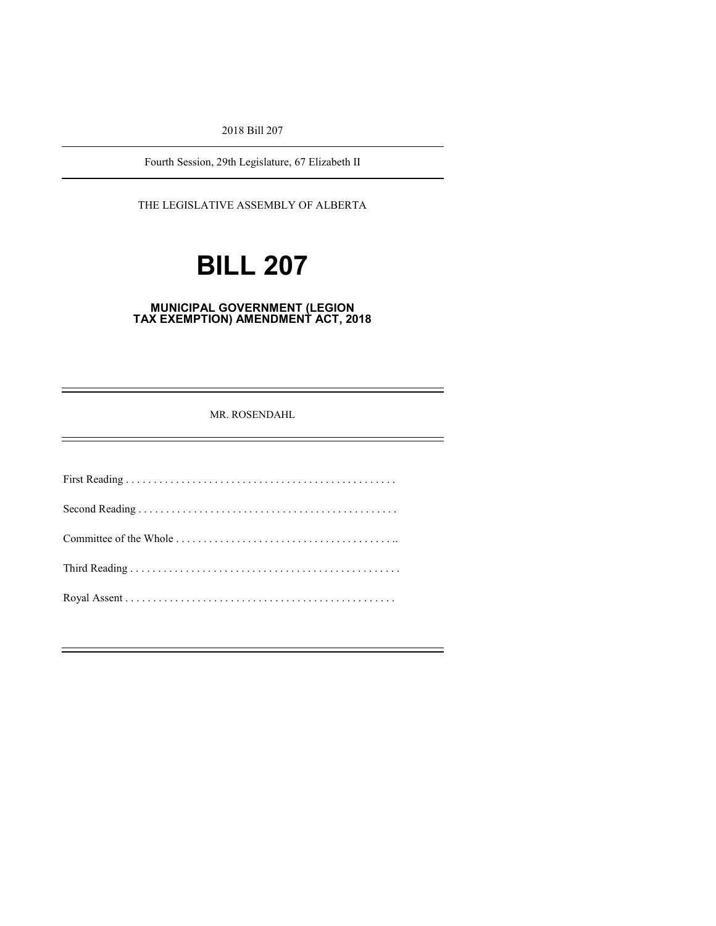2018 Bill 207

Fourth Session, 29th Legislature, 67 Elizabeth II

THE LEGISLATIVE ASSEMBLY OF ALBERTA

# **BILL 207**

#### **MUNICIPAL GOVERNMENT (LEGION TAX EXEMPTION) AMENDMENT ACT, 2018**

MR. ROSENDAHL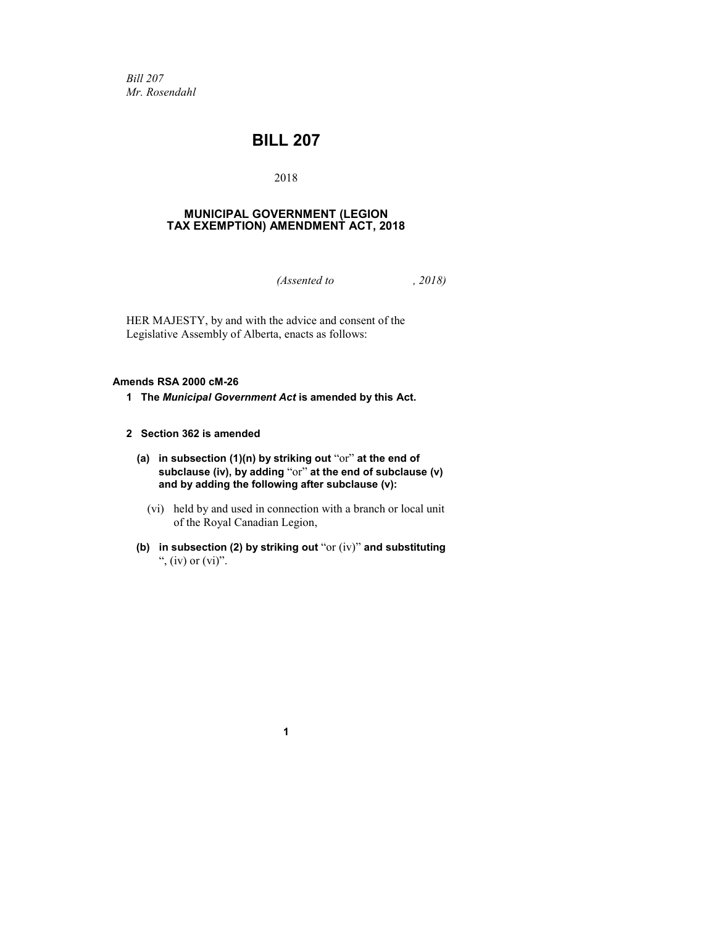*Bill 207 Mr. Rosendahl*

### **BILL 207**

#### 2018

#### **MUNICIPAL GOVERNMENT (LEGION TAX EXEMPTION) AMENDMENT ACT, 2018**

*(Assented to , 2018)*

HER MAJESTY, by and with the advice and consent of the Legislative Assembly of Alberta, enacts as follows:

#### **Amends RSA 2000 cM-26**

**1 The** *Municipal Government Act* **is amended by this Act.**

#### **2 Section 362 is amended**

- **(a) in subsection (1)(n) by striking out** "or" **at the end of subclause (iv), by adding** "or" **at the end of subclause (v) and by adding the following after subclause (v):**
	- (vi) held by and used in connection with a branch or local unit of the Royal Canadian Legion,
- **(b) in subsection (2) by striking out** "or (iv)" **and substituting**  ", (iv) or  $(vi)$ ".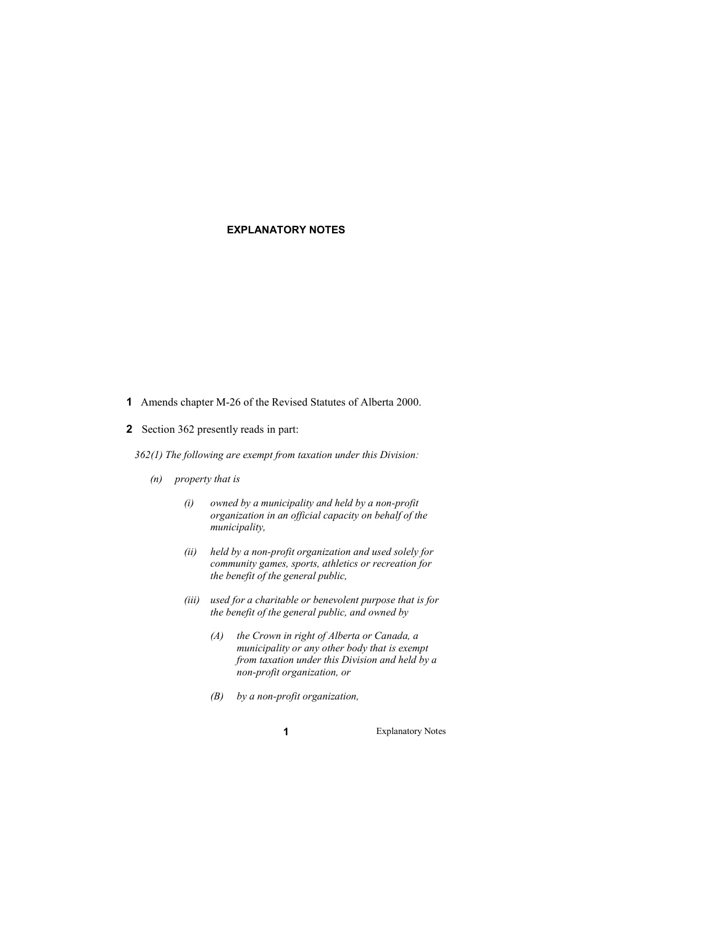#### **EXPLANATORY NOTES**

- **1** Amends chapter M-26 of the Revised Statutes of Alberta 2000.
- **2** Section 362 presently reads in part:
	- *362(1) The following are exempt from taxation under this Division:* 
		- *(n) property that is* 
			- *(i) owned by a municipality and held by a non-profit organization in an official capacity on behalf of the municipality,*
			- *(ii) held by a non-profit organization and used solely for community games, sports, athletics or recreation for the benefit of the general public,*
			- *(iii) used for a charitable or benevolent purpose that is for the benefit of the general public, and owned by*
				- *(A) the Crown in right of Alberta or Canada, a municipality or any other body that is exempt from taxation under this Division and held by a non-profit organization, or*
				- *(B) by a non-profit organization,*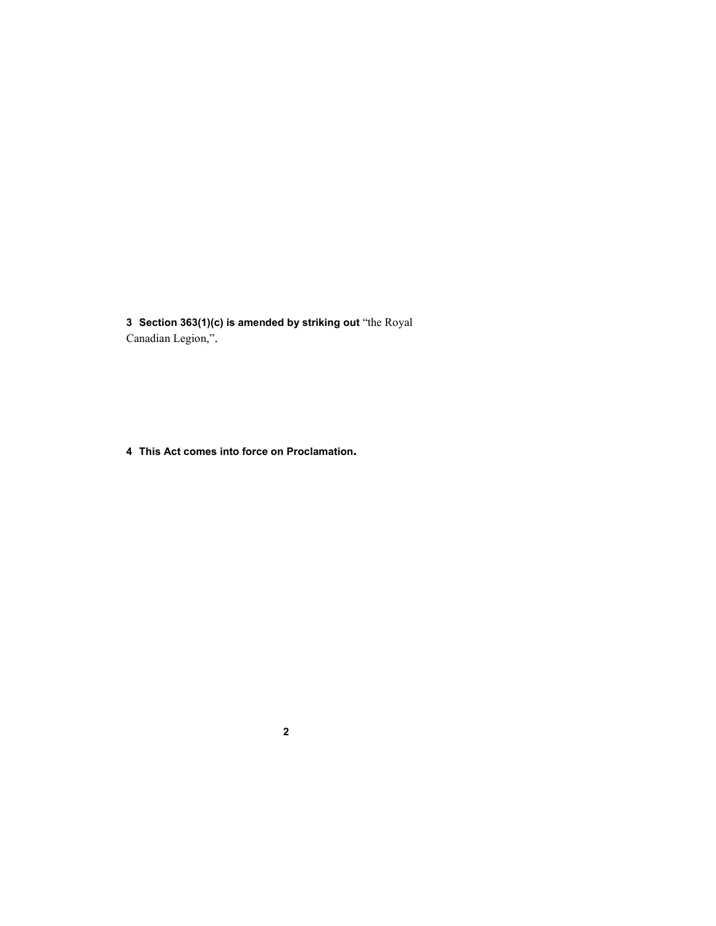**Section 363(1)(c) is amended by striking out** "the Royal Canadian Legion,".

**This Act comes into force on Proclamation.**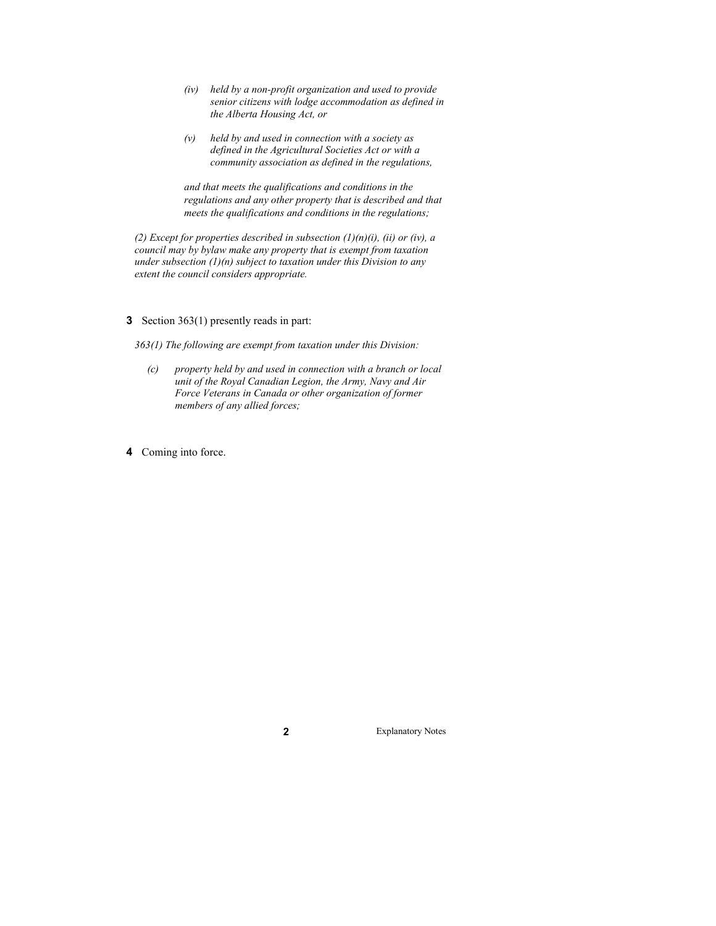- *(iv) held by a non-profit organization and used to provide senior citizens with lodge accommodation as defined in the Alberta Housing Act, or*
- *(v) held by and used in connection with a society as defined in the Agricultural Societies Act or with a community association as defined in the regulations,*

*and that meets the qualifications and conditions in the regulations and any other property that is described and that meets the qualifications and conditions in the regulations;*

(2) *Except for properties described in subsection*  $(1)(n)(i)$ *, (ii) or (iv), a council may by bylaw make any property that is exempt from taxation under subsection (1)(n) subject to taxation under this Division to any extent the council considers appropriate.* 

**3** Section 363(1) presently reads in part:

*363(1) The following are exempt from taxation under this Division:* 

- *(c) property held by and used in connection with a branch or local unit of the Royal Canadian Legion, the Army, Navy and Air Force Veterans in Canada or other organization of former members of any allied forces;*
- **4** Coming into force.